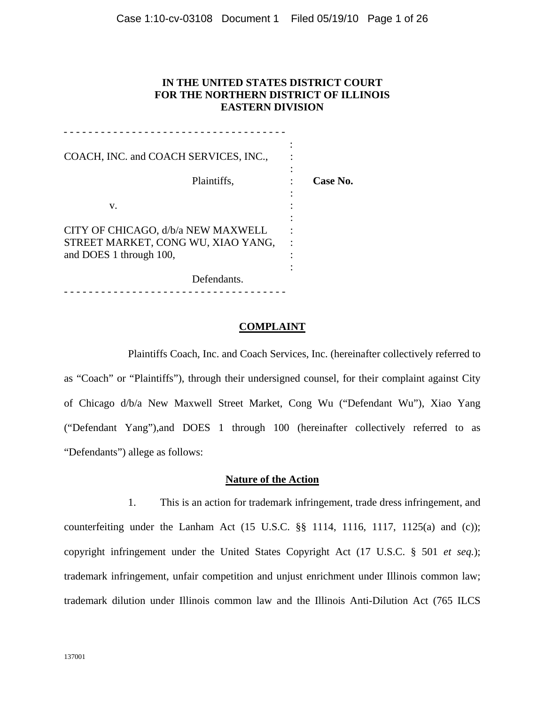# **IN THE UNITED STATES DISTRICT COURT FOR THE NORTHERN DISTRICT OF ILLINOIS EASTERN DIVISION**

| COACH, INC. and COACH SERVICES, INC.,                         |          |
|---------------------------------------------------------------|----------|
| Plaintiffs,                                                   | Case No. |
| v.                                                            |          |
| CITY OF CHICAGO, d/b/a NEW MAXWELL                            |          |
| STREET MARKET, CONG WU, XIAO YANG,<br>and DOES 1 through 100, |          |
| Defendants.                                                   |          |

- - - - - - - - - - - - - - - - - - - - - - - - - - - - - - - - - - - -

#### **COMPLAINT**

Plaintiffs Coach, Inc. and Coach Services, Inc. (hereinafter collectively referred to as "Coach" or "Plaintiffs"), through their undersigned counsel, for their complaint against City of Chicago d/b/a New Maxwell Street Market, Cong Wu ("Defendant Wu"), Xiao Yang ("Defendant Yang"),and DOES 1 through 100 (hereinafter collectively referred to as "Defendants") allege as follows:

## **Nature of the Action**

1. This is an action for trademark infringement, trade dress infringement, and counterfeiting under the Lanham Act  $(15 \text{ U.S.C. }$   $\S\S$  1114, 1116, 1117, 1125 $(a)$  and  $(c)$ ); copyright infringement under the United States Copyright Act (17 U.S.C. § 501 *et seq.*); trademark infringement, unfair competition and unjust enrichment under Illinois common law; trademark dilution under Illinois common law and the Illinois Anti-Dilution Act (765 ILCS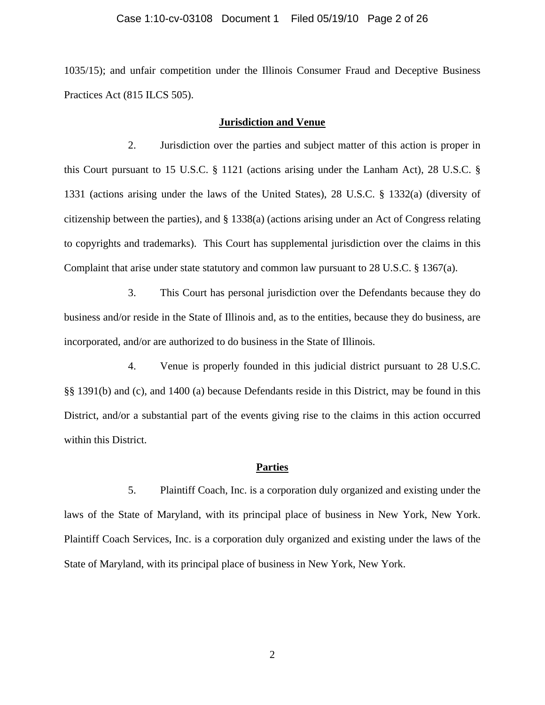#### Case 1:10-cv-03108 Document 1 Filed 05/19/10 Page 2 of 26

1035/15); and unfair competition under the Illinois Consumer Fraud and Deceptive Business Practices Act (815 ILCS 505).

#### **Jurisdiction and Venue**

2. Jurisdiction over the parties and subject matter of this action is proper in this Court pursuant to 15 U.S.C. § 1121 (actions arising under the Lanham Act), 28 U.S.C. § 1331 (actions arising under the laws of the United States), 28 U.S.C. § 1332(a) (diversity of citizenship between the parties), and § 1338(a) (actions arising under an Act of Congress relating to copyrights and trademarks). This Court has supplemental jurisdiction over the claims in this Complaint that arise under state statutory and common law pursuant to 28 U.S.C. § 1367(a).

3. This Court has personal jurisdiction over the Defendants because they do business and/or reside in the State of Illinois and, as to the entities, because they do business, are incorporated, and/or are authorized to do business in the State of Illinois.

4. Venue is properly founded in this judicial district pursuant to 28 U.S.C. §§ 1391(b) and (c), and 1400 (a) because Defendants reside in this District, may be found in this District, and/or a substantial part of the events giving rise to the claims in this action occurred within this District.

#### **Parties**

5. Plaintiff Coach, Inc. is a corporation duly organized and existing under the laws of the State of Maryland, with its principal place of business in New York, New York. Plaintiff Coach Services, Inc. is a corporation duly organized and existing under the laws of the State of Maryland, with its principal place of business in New York, New York.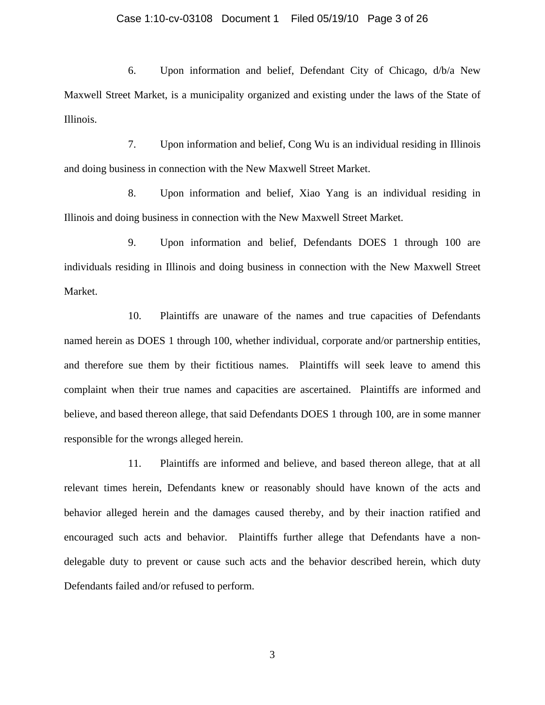### Case 1:10-cv-03108 Document 1 Filed 05/19/10 Page 3 of 26

6. Upon information and belief, Defendant City of Chicago, d/b/a New Maxwell Street Market, is a municipality organized and existing under the laws of the State of Illinois.

7. Upon information and belief, Cong Wu is an individual residing in Illinois and doing business in connection with the New Maxwell Street Market.

8. Upon information and belief, Xiao Yang is an individual residing in Illinois and doing business in connection with the New Maxwell Street Market.

9. Upon information and belief, Defendants DOES 1 through 100 are individuals residing in Illinois and doing business in connection with the New Maxwell Street Market.

10. Plaintiffs are unaware of the names and true capacities of Defendants named herein as DOES 1 through 100, whether individual, corporate and/or partnership entities, and therefore sue them by their fictitious names. Plaintiffs will seek leave to amend this complaint when their true names and capacities are ascertained. Plaintiffs are informed and believe, and based thereon allege, that said Defendants DOES 1 through 100, are in some manner responsible for the wrongs alleged herein.

11. Plaintiffs are informed and believe, and based thereon allege, that at all relevant times herein, Defendants knew or reasonably should have known of the acts and behavior alleged herein and the damages caused thereby, and by their inaction ratified and encouraged such acts and behavior. Plaintiffs further allege that Defendants have a nondelegable duty to prevent or cause such acts and the behavior described herein, which duty Defendants failed and/or refused to perform.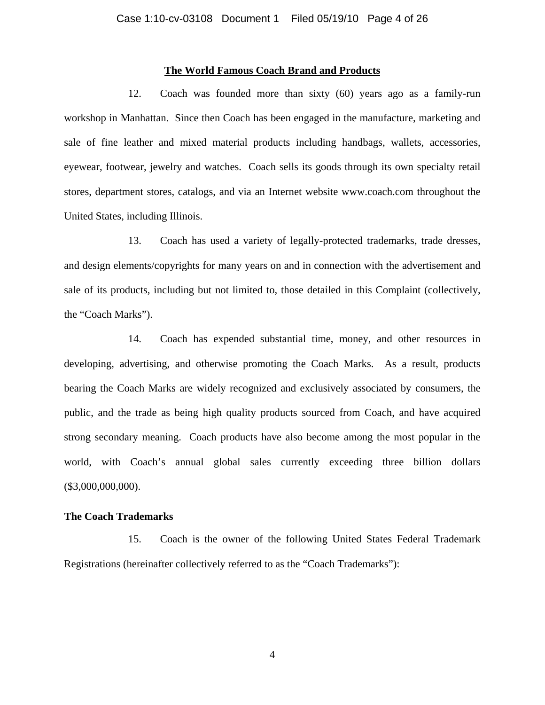### **The World Famous Coach Brand and Products**

12. Coach was founded more than sixty (60) years ago as a family-run workshop in Manhattan. Since then Coach has been engaged in the manufacture, marketing and sale of fine leather and mixed material products including handbags, wallets, accessories, eyewear, footwear, jewelry and watches. Coach sells its goods through its own specialty retail stores, department stores, catalogs, and via an Internet website www.coach.com throughout the United States, including Illinois.

13. Coach has used a variety of legally-protected trademarks, trade dresses, and design elements/copyrights for many years on and in connection with the advertisement and sale of its products, including but not limited to, those detailed in this Complaint (collectively, the "Coach Marks").

14. Coach has expended substantial time, money, and other resources in developing, advertising, and otherwise promoting the Coach Marks. As a result, products bearing the Coach Marks are widely recognized and exclusively associated by consumers, the public, and the trade as being high quality products sourced from Coach, and have acquired strong secondary meaning. Coach products have also become among the most popular in the world, with Coach's annual global sales currently exceeding three billion dollars  $($3,000,000,000)$ .

### **The Coach Trademarks**

15. Coach is the owner of the following United States Federal Trademark Registrations (hereinafter collectively referred to as the "Coach Trademarks"):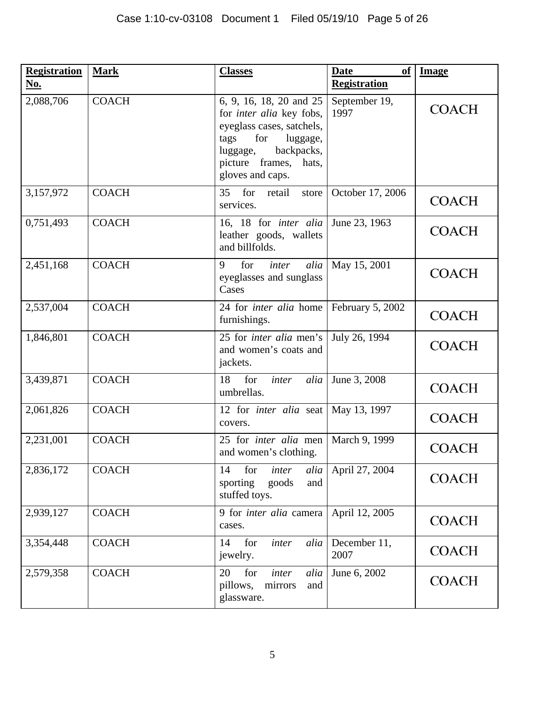| <b>Registration</b><br>No. | <b>Mark</b>  | <b>Classes</b>                                                                                                                                                                            | <b>Date</b><br>of<br><b>Registration</b> | <b>Image</b> |
|----------------------------|--------------|-------------------------------------------------------------------------------------------------------------------------------------------------------------------------------------------|------------------------------------------|--------------|
| 2,088,706                  | <b>COACH</b> | 6, 9, 16, 18, 20 and 25<br>for <i>inter alia</i> key fobs,<br>eyeglass cases, satchels,<br>for<br>luggage,<br>tags<br>backpacks,<br>luggage,<br>picture frames, hats,<br>gloves and caps. | September 19,<br>1997                    | <b>COACH</b> |
| 3,157,972                  | <b>COACH</b> | 35<br>for<br>retail<br>store<br>services.                                                                                                                                                 | October 17, 2006                         | <b>COACH</b> |
| 0,751,493                  | <b>COACH</b> | 16, 18 for inter alia<br>leather goods, wallets<br>and billfolds.                                                                                                                         | June 23, 1963                            | <b>COACH</b> |
| 2,451,168                  | <b>COACH</b> | for<br>alia<br>9<br>inter<br>eyeglasses and sunglass<br>Cases                                                                                                                             | May 15, 2001                             | <b>COACH</b> |
| 2,537,004                  | <b>COACH</b> | 24 for <i>inter alia</i> home<br>furnishings.                                                                                                                                             | February 5, 2002                         | <b>COACH</b> |
| 1,846,801                  | <b>COACH</b> | 25 for <i>inter alia</i> men's<br>and women's coats and<br>jackets.                                                                                                                       | July 26, 1994                            | <b>COACH</b> |
| 3,439,871                  | <b>COACH</b> | for<br>18<br>inter<br>alia<br>umbrellas.                                                                                                                                                  | June 3, 2008                             | <b>COACH</b> |
| 2,061,826                  | <b>COACH</b> | 12 for <i>inter</i> alia seat<br>covers.                                                                                                                                                  | May 13, 1997                             | <b>COACH</b> |
| 2,231,001                  | <b>COACH</b> | 25 for <i>inter alia</i> men<br>and women's clothing.                                                                                                                                     | March 9, 1999                            | <b>COACH</b> |
| 2,836,172                  | <b>COACH</b> | for<br>14<br>inter<br>alia<br>sporting<br>and<br>goods<br>stuffed toys.                                                                                                                   | April 27, 2004                           | <b>COACH</b> |
| 2,939,127                  | <b>COACH</b> | 9 for inter alia camera<br>cases.                                                                                                                                                         | April 12, 2005                           | <b>COACH</b> |
| 3,354,448                  | <b>COACH</b> | for<br>14<br>inter<br>alia<br>jewelry.                                                                                                                                                    | December 11,<br>2007                     | <b>COACH</b> |
| 2,579,358                  | <b>COACH</b> | for<br>20<br>inter<br>alia<br>pillows,<br>mirrors<br>and<br>glassware.                                                                                                                    | June 6, 2002                             | <b>COACH</b> |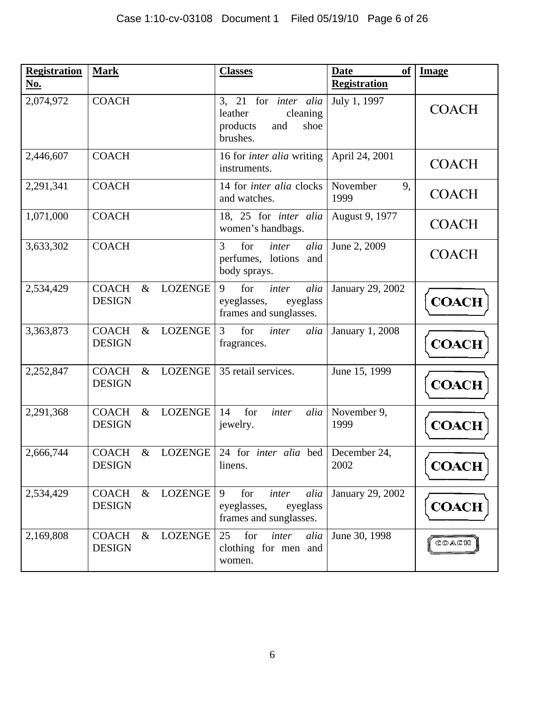| <b>Registration</b><br>No. | <b>Mark</b>                                             | <b>Classes</b>                                                                            | of<br><b>Date</b><br><b>Registration</b> | <b>Image</b> |
|----------------------------|---------------------------------------------------------|-------------------------------------------------------------------------------------------|------------------------------------------|--------------|
| 2,074,972                  | <b>COACH</b>                                            | 3, 21 for <i>inter alia</i><br>leather<br>cleaning<br>products<br>shoe<br>and<br>brushes. | July 1, 1997                             | <b>COACH</b> |
| 2,446,607                  | <b>COACH</b>                                            | 16 for <i>inter alia</i> writing   April 24, 2001<br>instruments.                         |                                          | COACH        |
| 2,291,341                  | <b>COACH</b>                                            | 14 for <i>inter alia</i> clocks<br>and watches.                                           | November<br>9,<br>1999                   | <b>COACH</b> |
| 1,071,000                  | <b>COACH</b>                                            | 18, 25 for <i>inter</i> alia<br>women's handbags.                                         | August 9, 1977                           | <b>COACH</b> |
| 3,633,302                  | <b>COACH</b>                                            | for<br>3<br>inter<br>alia<br>perfumes, lotions<br>and<br>body sprays.                     | June 2, 2009                             | <b>COACH</b> |
| 2,534,429                  | <b>COACH</b><br><b>LOZENGE</b><br>$\&$<br><b>DESIGN</b> | 9<br>for<br>alia<br>inter<br>eyeglass<br>eyeglasses,<br>frames and sunglasses.            | January 29, 2002                         | <b>COACH</b> |
| 3,363,873                  | <b>COACH</b><br>$\&$<br><b>LOZENGE</b><br><b>DESIGN</b> | for<br>3<br>alia<br>inter<br>fragrances.                                                  | <b>January 1, 2008</b>                   | <b>COACH</b> |
| 2,252,847                  | <b>COACH</b><br>LOZENGE<br>$\&$<br><b>DESIGN</b>        | 35 retail services.                                                                       | June 15, 1999                            | <b>COACH</b> |
| 2,291,368                  | LOZENGE<br><b>COACH</b><br>$\&$<br><b>DESIGN</b>        | for<br>inter<br>14<br>alia<br>jewelry.                                                    | November 9,<br>1999                      | <b>COACH</b> |
| 2,666,744                  | <b>COACH</b><br>$\&$<br><b>DESIGN</b>                   | LOZENGE   24 for <i>inter alia</i> bed   December 24,<br>linens.                          | 2002                                     | <b>COACH</b> |
| 2,534,429                  | LOZENGE<br><b>COACH</b><br>$\&$<br><b>DESIGN</b>        | 9<br>for<br>alia<br>inter<br>eyeglasses,<br>eyeglass<br>frames and sunglasses.            | January 29, 2002                         | <b>COACH</b> |
| 2,169,808                  | <b>LOZENGE</b><br><b>COACH</b><br>$\&$<br><b>DESIGN</b> | 25<br>for<br>inter<br>alia<br>clothing for men and<br>women.                              | June 30, 1998                            | COACH        |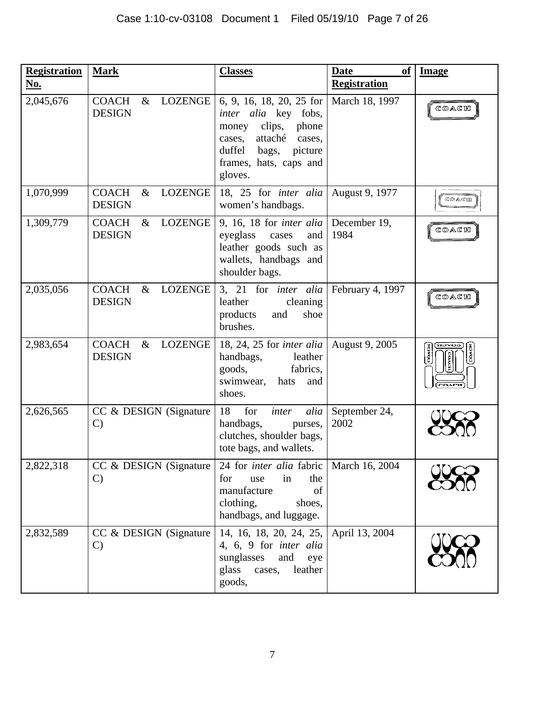| <b>Registration</b><br>No. | <b>Mark</b>                                             | <b>Classes</b>                                                                                                                                                                 | <b>Date</b><br><b>of</b><br><b>Registration</b> | <b>Image</b>   |
|----------------------------|---------------------------------------------------------|--------------------------------------------------------------------------------------------------------------------------------------------------------------------------------|-------------------------------------------------|----------------|
| 2,045,676                  | <b>COACH</b><br>LOZENGE<br>$\&$<br><b>DESIGN</b>        | 6, 9, 16, 18, 20, 25 for<br>inter alia key fobs,<br>clips,<br>phone<br>money<br>attaché<br>cases,<br>cases,<br>duffel<br>bags,<br>picture<br>frames, hats, caps and<br>gloves. | March 18, 1997                                  | COACH          |
| 1,070,999                  | <b>COACH</b><br><b>LOZENGE</b><br>$\&$<br><b>DESIGN</b> | 18, 25 for <i>inter alia</i><br>women's handbags.                                                                                                                              | August 9, 1977                                  | COACH          |
| 1,309,779                  | <b>COACH</b><br>$\&$<br><b>LOZENGE</b><br><b>DESIGN</b> | 9, 16, 18 for <i>inter alia</i><br>eyeglass<br>cases<br>and<br>leather goods such as<br>wallets, handbags and<br>shoulder bags.                                                | December 19,<br>1984                            | COACH          |
| 2,035,056                  | <b>COACH</b><br>$\&$<br><b>LOZENGE</b><br><b>DESIGN</b> | 3, 21 for <i>inter alia</i><br>leather<br>cleaning<br>products<br>and<br>shoe<br>brushes.                                                                                      | February 4, 1997                                | COACH          |
| 2,983,654                  | <b>COACH</b><br>LOZENGE<br>$\&$<br><b>DESIGN</b>        | 18, 24, 25 for <i>inter alia</i><br>handbags,<br>leather<br>goods,<br>fabrics,<br>swimwear,<br>hats<br>and<br>shoes.                                                           | August 9, 2005                                  | COACH<br>COACH |
| 2,626,565                  | CC & DESIGN (Signature<br>$\mathcal{C}$                 | 18<br>for<br>inter<br>alia<br>handbags,<br>purses,<br>clutches, shoulder bags,<br>tote bags, and wallets.                                                                      | September 24,<br>2002                           |                |
| 2,822,318                  | CC & DESIGN (Signature<br>$\mathbf{C}$                  | 24 for <i>inter alia</i> fabric<br>for<br>the<br>use<br>in<br>manufacture<br>of<br>clothing,<br>shoes,<br>handbags, and luggage.                                               | March 16, 2004                                  |                |
| 2,832,589                  | CC & DESIGN (Signature<br>$\mathcal{C}$                 | 14, 16, 18, 20, 24, 25,<br>4, 6, 9 for <i>inter</i> alia<br>sunglasses<br>and<br>eye<br>glass<br>leather<br>cases,<br>goods,                                                   | April 13, 2004                                  |                |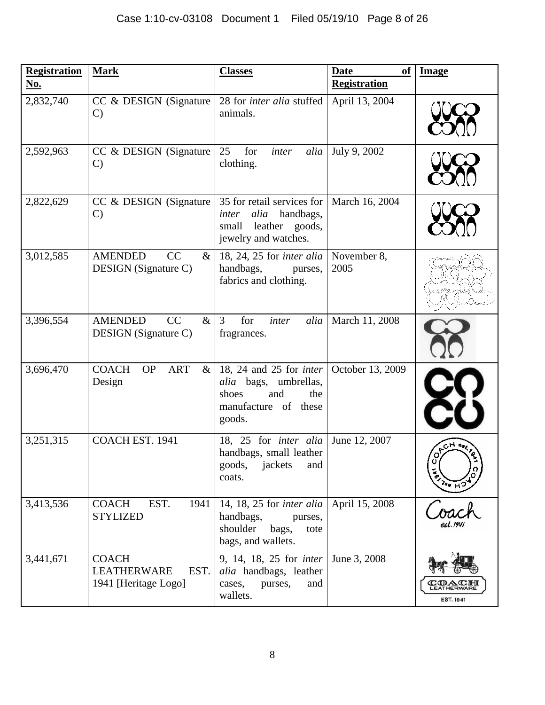| <b>Registration</b><br><u>No.</u> | <b>Mark</b>                                                        | <b>Classes</b>                                                                                                   | <b>Date</b><br>of<br><b>Registration</b> | <b>Image</b>                   |
|-----------------------------------|--------------------------------------------------------------------|------------------------------------------------------------------------------------------------------------------|------------------------------------------|--------------------------------|
| 2,832,740                         | CC & DESIGN (Signature<br>$\mathcal{C}$                            | 28 for inter alia stuffed<br>animals.                                                                            | April 13, 2004                           |                                |
| 2,592,963                         | CC & DESIGN (Signature<br>$\mathcal{C}$                            | 25<br>for<br>alia<br>inter<br>clothing.                                                                          | July 9, 2002                             |                                |
| 2,822,629                         | CC & DESIGN (Signature<br>$\mathcal{C}$                            | 35 for retail services for<br>alia<br>handbags,<br>inter<br>leather goods,<br>small<br>jewelry and watches.      | March 16, 2004                           |                                |
| 3,012,585                         | CC<br><b>AMENDED</b><br>$\&$<br>DESIGN (Signature C)               | 18, 24, 25 for <i>inter alia</i><br>handbags,<br>purses,<br>fabrics and clothing.                                | November 8,<br>2005                      |                                |
| 3,396,554                         | CC<br><b>AMENDED</b><br>$\&$<br>DESIGN (Signature C)               | $\mathfrak{Z}$<br>for<br>inter<br>alia<br>fragrances.                                                            | March 11, 2008                           |                                |
| 3,696,470                         | <b>COACH</b><br><b>ART</b><br><b>OP</b><br>$\&$<br>Design          | 18, 24 and 25 for <i>inter</i><br>alia bags, umbrellas,<br>and<br>the<br>shoes<br>manufacture of these<br>goods. | October 13, 2009                         |                                |
| 3,251,315                         | COACH EST. 1941                                                    | 18, 25 for inter alia<br>handbags, small leather<br>jackets<br>goods,<br>and<br>coats.                           | June 12, 2007                            | $\frac{2}{3}$<br>$\frac{1}{3}$ |
| 3,413,536                         | EST.<br>1941<br><b>COACH</b><br><b>STYLIZED</b>                    | 14, 18, 25 for <i>inter alia</i><br>handbags,<br>purses,<br>shoulder<br>bags,<br>tote<br>bags, and wallets.      | April 15, 2008                           |                                |
| 3,441,671                         | <b>COACH</b><br><b>LEATHERWARE</b><br>EST.<br>1941 [Heritage Logo] | 9, 14, 18, 25 for <i>inter</i><br>alia handbags, leather<br>purses,<br>cases,<br>and<br>wallets.                 | June 3, 2008                             | <b>EST. 1941</b>               |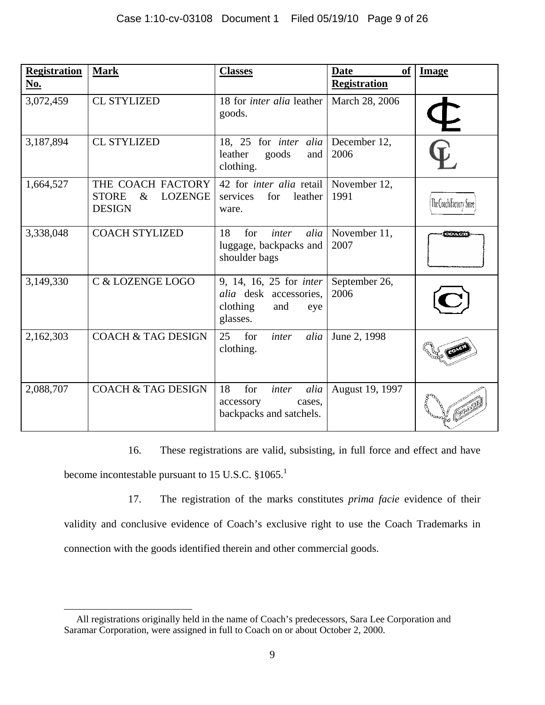| <b>Registration</b><br><b>No.</b> | <b>Mark</b>                                                                  | <b>Classes</b>                                                                                        | of<br><b>Date</b><br><b>Registration</b> | <b>Image</b>            |
|-----------------------------------|------------------------------------------------------------------------------|-------------------------------------------------------------------------------------------------------|------------------------------------------|-------------------------|
| 3,072,459                         | <b>CL STYLIZED</b>                                                           | 18 for <i>inter alia</i> leather<br>goods.                                                            | March 28, 2006                           |                         |
| 3,187,894                         | <b>CL STYLIZED</b>                                                           | 18, 25 for <i>inter</i> alia<br>goods<br>leather<br>and<br>clothing.                                  | December 12,<br>2006                     |                         |
| 1,664,527                         | THE COACH FACTORY<br><b>STORE</b><br>$\&$<br><b>LOZENGE</b><br><b>DESIGN</b> | 42 for <i>inter alia</i> retail November 12,<br>leather<br>services<br>for<br>ware.                   | 1991                                     | The Coach Factory Store |
| 3,338,048                         | <b>COACH STYLIZED</b>                                                        | 18<br>for<br>inter<br>alia<br>luggage, backpacks and<br>shoulder bags                                 | November 11,<br>2007                     | <b>COACH</b>            |
| 3,149,330                         | C & LOZENGE LOGO                                                             | 9, 14, 16, 25 for <i>inter</i><br><i>alia</i> desk accessories,<br>clothing<br>and<br>eye<br>glasses. | September 26,<br>2006                    |                         |
| 2,162,303                         | <b>COACH &amp; TAG DESIGN</b>                                                | for<br>25<br>inter<br>alia<br>clothing.                                                               | June 2, 1998                             |                         |
| 2,088,707                         | <b>COACH &amp; TAG DESIGN</b>                                                | 18<br>for<br>alia<br>inter<br>accessory<br>cases,<br>backpacks and satchels.                          | August 19, 1997                          | <b>BOOD</b>             |

16. These registrations are valid, subsisting, in full force and effect and have become incontestable pursuant to 15 U.S.C.  $§1065$ <sup>1</sup>

17. The registration of the marks constitutes *prima facie* evidence of their

validity and conclusive evidence of Coach's exclusive right to use the Coach Trademarks in

connection with the goods identified therein and other commercial goods.

 $\overline{a}$  All registrations originally held in the name of Coach's predecessors, Sara Lee Corporation and Saramar Corporation, were assigned in full to Coach on or about October 2, 2000.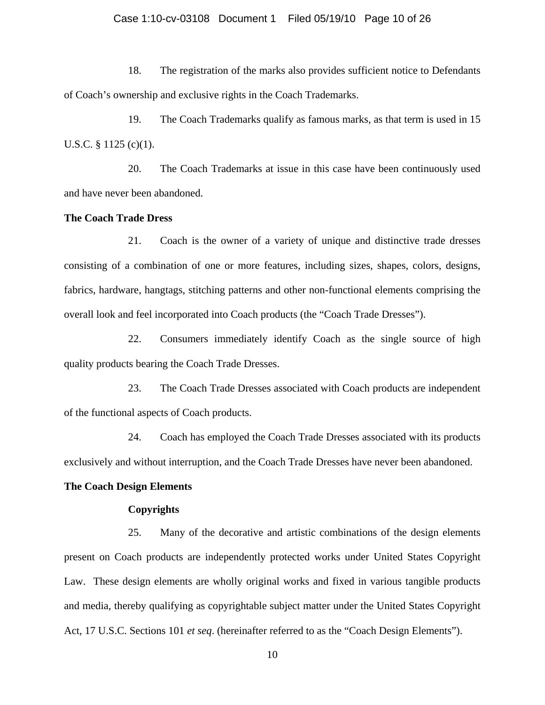### Case 1:10-cv-03108 Document 1 Filed 05/19/10 Page 10 of 26

18. The registration of the marks also provides sufficient notice to Defendants of Coach's ownership and exclusive rights in the Coach Trademarks.

19. The Coach Trademarks qualify as famous marks, as that term is used in 15 U.S.C. § 1125 (c)(1).

20. The Coach Trademarks at issue in this case have been continuously used and have never been abandoned.

### **The Coach Trade Dress**

21. Coach is the owner of a variety of unique and distinctive trade dresses consisting of a combination of one or more features, including sizes, shapes, colors, designs, fabrics, hardware, hangtags, stitching patterns and other non-functional elements comprising the overall look and feel incorporated into Coach products (the "Coach Trade Dresses").

22. Consumers immediately identify Coach as the single source of high quality products bearing the Coach Trade Dresses.

23. The Coach Trade Dresses associated with Coach products are independent of the functional aspects of Coach products.

24. Coach has employed the Coach Trade Dresses associated with its products exclusively and without interruption, and the Coach Trade Dresses have never been abandoned.

### **The Coach Design Elements**

#### **Copyrights**

25. Many of the decorative and artistic combinations of the design elements present on Coach products are independently protected works under United States Copyright Law. These design elements are wholly original works and fixed in various tangible products and media, thereby qualifying as copyrightable subject matter under the United States Copyright Act, 17 U.S.C. Sections 101 *et seq*. (hereinafter referred to as the "Coach Design Elements").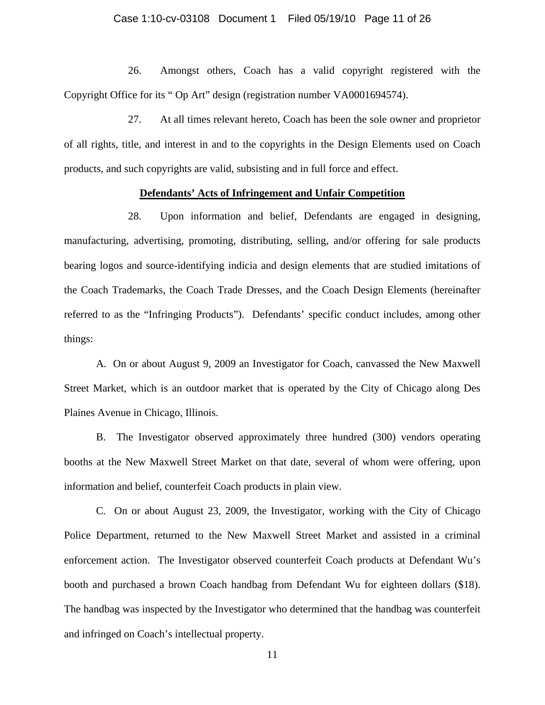### Case 1:10-cv-03108 Document 1 Filed 05/19/10 Page 11 of 26

26. Amongst others, Coach has a valid copyright registered with the Copyright Office for its " Op Art" design (registration number VA0001694574).

27. At all times relevant hereto, Coach has been the sole owner and proprietor of all rights, title, and interest in and to the copyrights in the Design Elements used on Coach products, and such copyrights are valid, subsisting and in full force and effect.

### **Defendants' Acts of Infringement and Unfair Competition**

28. Upon information and belief, Defendants are engaged in designing, manufacturing, advertising, promoting, distributing, selling, and/or offering for sale products bearing logos and source-identifying indicia and design elements that are studied imitations of the Coach Trademarks, the Coach Trade Dresses, and the Coach Design Elements (hereinafter referred to as the "Infringing Products"). Defendants' specific conduct includes, among other things:

 A. On or about August 9, 2009 an Investigator for Coach, canvassed the New Maxwell Street Market, which is an outdoor market that is operated by the City of Chicago along Des Plaines Avenue in Chicago, Illinois.

 B. The Investigator observed approximately three hundred (300) vendors operating booths at the New Maxwell Street Market on that date, several of whom were offering, upon information and belief, counterfeit Coach products in plain view.

 C. On or about August 23, 2009, the Investigator, working with the City of Chicago Police Department, returned to the New Maxwell Street Market and assisted in a criminal enforcement action. The Investigator observed counterfeit Coach products at Defendant Wu's booth and purchased a brown Coach handbag from Defendant Wu for eighteen dollars (\$18). The handbag was inspected by the Investigator who determined that the handbag was counterfeit and infringed on Coach's intellectual property.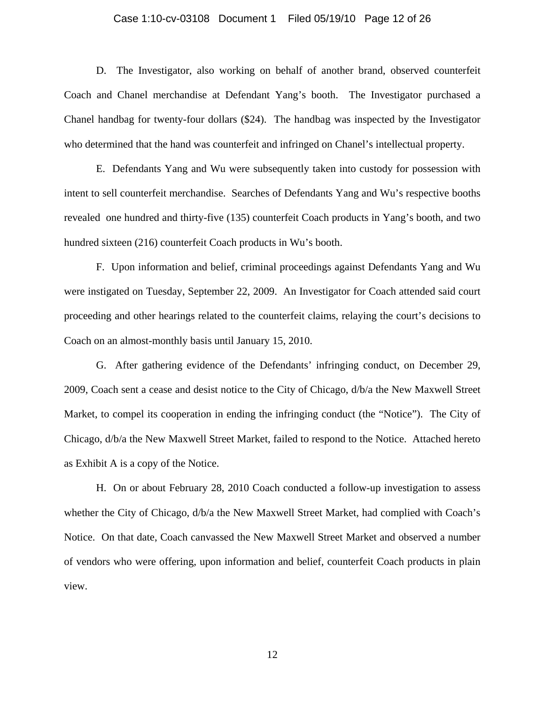### Case 1:10-cv-03108 Document 1 Filed 05/19/10 Page 12 of 26

 D. The Investigator, also working on behalf of another brand, observed counterfeit Coach and Chanel merchandise at Defendant Yang's booth. The Investigator purchased a Chanel handbag for twenty-four dollars (\$24). The handbag was inspected by the Investigator who determined that the hand was counterfeit and infringed on Chanel's intellectual property.

 E. Defendants Yang and Wu were subsequently taken into custody for possession with intent to sell counterfeit merchandise. Searches of Defendants Yang and Wu's respective booths revealed one hundred and thirty-five (135) counterfeit Coach products in Yang's booth, and two hundred sixteen (216) counterfeit Coach products in Wu's booth.

 F. Upon information and belief, criminal proceedings against Defendants Yang and Wu were instigated on Tuesday, September 22, 2009. An Investigator for Coach attended said court proceeding and other hearings related to the counterfeit claims, relaying the court's decisions to Coach on an almost-monthly basis until January 15, 2010.

G. After gathering evidence of the Defendants' infringing conduct, on December 29, 2009, Coach sent a cease and desist notice to the City of Chicago, d/b/a the New Maxwell Street Market, to compel its cooperation in ending the infringing conduct (the "Notice"). The City of Chicago, d/b/a the New Maxwell Street Market, failed to respond to the Notice. Attached hereto as Exhibit A is a copy of the Notice.

 H. On or about February 28, 2010 Coach conducted a follow-up investigation to assess whether the City of Chicago, d/b/a the New Maxwell Street Market, had complied with Coach's Notice. On that date, Coach canvassed the New Maxwell Street Market and observed a number of vendors who were offering, upon information and belief, counterfeit Coach products in plain view.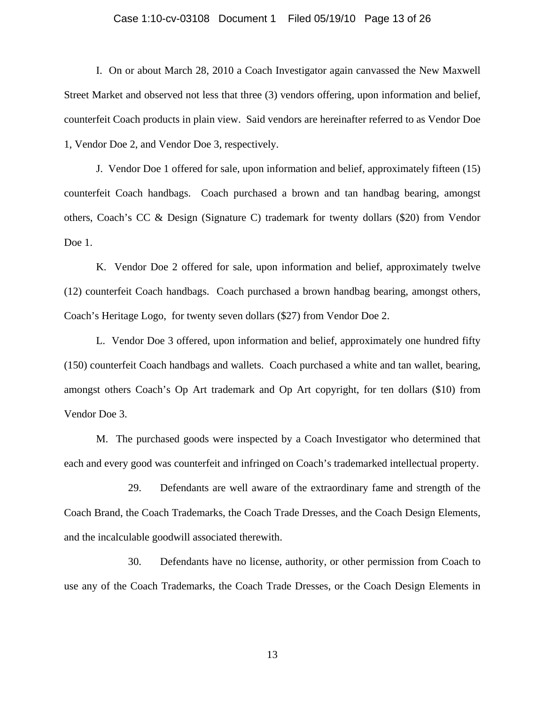### Case 1:10-cv-03108 Document 1 Filed 05/19/10 Page 13 of 26

 I. On or about March 28, 2010 a Coach Investigator again canvassed the New Maxwell Street Market and observed not less that three (3) vendors offering, upon information and belief, counterfeit Coach products in plain view. Said vendors are hereinafter referred to as Vendor Doe 1, Vendor Doe 2, and Vendor Doe 3, respectively.

 J. Vendor Doe 1 offered for sale, upon information and belief, approximately fifteen (15) counterfeit Coach handbags. Coach purchased a brown and tan handbag bearing, amongst others, Coach's CC & Design (Signature C) trademark for twenty dollars (\$20) from Vendor Doe 1.

 K. Vendor Doe 2 offered for sale, upon information and belief, approximately twelve (12) counterfeit Coach handbags. Coach purchased a brown handbag bearing, amongst others, Coach's Heritage Logo, for twenty seven dollars (\$27) from Vendor Doe 2.

 L. Vendor Doe 3 offered, upon information and belief, approximately one hundred fifty (150) counterfeit Coach handbags and wallets. Coach purchased a white and tan wallet, bearing, amongst others Coach's Op Art trademark and Op Art copyright, for ten dollars (\$10) from Vendor Doe 3.

 M. The purchased goods were inspected by a Coach Investigator who determined that each and every good was counterfeit and infringed on Coach's trademarked intellectual property.

29. Defendants are well aware of the extraordinary fame and strength of the Coach Brand, the Coach Trademarks, the Coach Trade Dresses, and the Coach Design Elements, and the incalculable goodwill associated therewith.

30. Defendants have no license, authority, or other permission from Coach to use any of the Coach Trademarks, the Coach Trade Dresses, or the Coach Design Elements in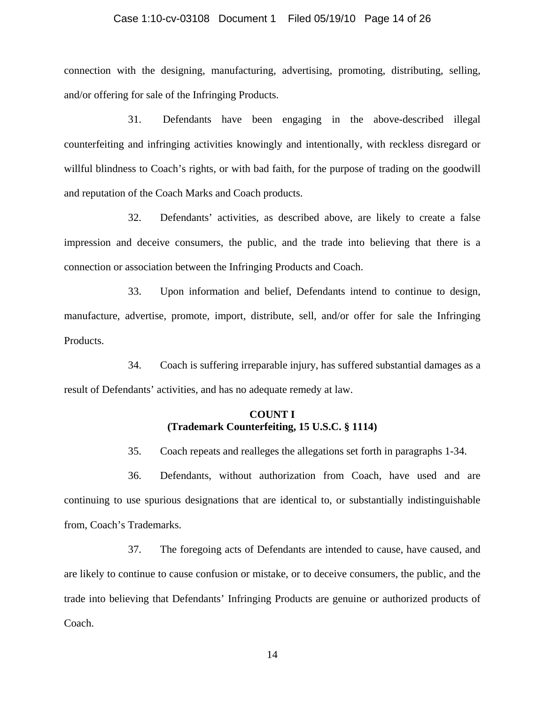#### Case 1:10-cv-03108 Document 1 Filed 05/19/10 Page 14 of 26

connection with the designing, manufacturing, advertising, promoting, distributing, selling, and/or offering for sale of the Infringing Products.

31. Defendants have been engaging in the above-described illegal counterfeiting and infringing activities knowingly and intentionally, with reckless disregard or willful blindness to Coach's rights, or with bad faith, for the purpose of trading on the goodwill and reputation of the Coach Marks and Coach products.

32. Defendants' activities, as described above, are likely to create a false impression and deceive consumers, the public, and the trade into believing that there is a connection or association between the Infringing Products and Coach.

33. Upon information and belief, Defendants intend to continue to design, manufacture, advertise, promote, import, distribute, sell, and/or offer for sale the Infringing Products.

34. Coach is suffering irreparable injury, has suffered substantial damages as a result of Defendants' activities, and has no adequate remedy at law.

## **COUNT I (Trademark Counterfeiting, 15 U.S.C. § 1114)**

35. Coach repeats and realleges the allegations set forth in paragraphs 1-34.

36. Defendants, without authorization from Coach, have used and are continuing to use spurious designations that are identical to, or substantially indistinguishable from, Coach's Trademarks.

37. The foregoing acts of Defendants are intended to cause, have caused, and are likely to continue to cause confusion or mistake, or to deceive consumers, the public, and the trade into believing that Defendants' Infringing Products are genuine or authorized products of Coach.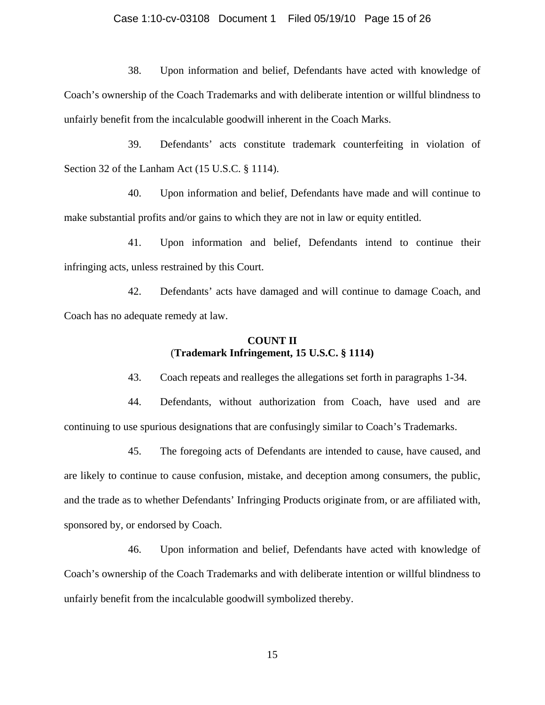### Case 1:10-cv-03108 Document 1 Filed 05/19/10 Page 15 of 26

38. Upon information and belief, Defendants have acted with knowledge of Coach's ownership of the Coach Trademarks and with deliberate intention or willful blindness to unfairly benefit from the incalculable goodwill inherent in the Coach Marks.

39. Defendants' acts constitute trademark counterfeiting in violation of Section 32 of the Lanham Act (15 U.S.C. § 1114).

40. Upon information and belief, Defendants have made and will continue to make substantial profits and/or gains to which they are not in law or equity entitled.

41. Upon information and belief, Defendants intend to continue their infringing acts, unless restrained by this Court.

42. Defendants' acts have damaged and will continue to damage Coach, and Coach has no adequate remedy at law.

# **COUNT II**  (**Trademark Infringement, 15 U.S.C. § 1114)**

43. Coach repeats and realleges the allegations set forth in paragraphs 1-34.

44. Defendants, without authorization from Coach, have used and are continuing to use spurious designations that are confusingly similar to Coach's Trademarks.

45. The foregoing acts of Defendants are intended to cause, have caused, and are likely to continue to cause confusion, mistake, and deception among consumers, the public, and the trade as to whether Defendants' Infringing Products originate from, or are affiliated with, sponsored by, or endorsed by Coach.

46. Upon information and belief, Defendants have acted with knowledge of Coach's ownership of the Coach Trademarks and with deliberate intention or willful blindness to unfairly benefit from the incalculable goodwill symbolized thereby.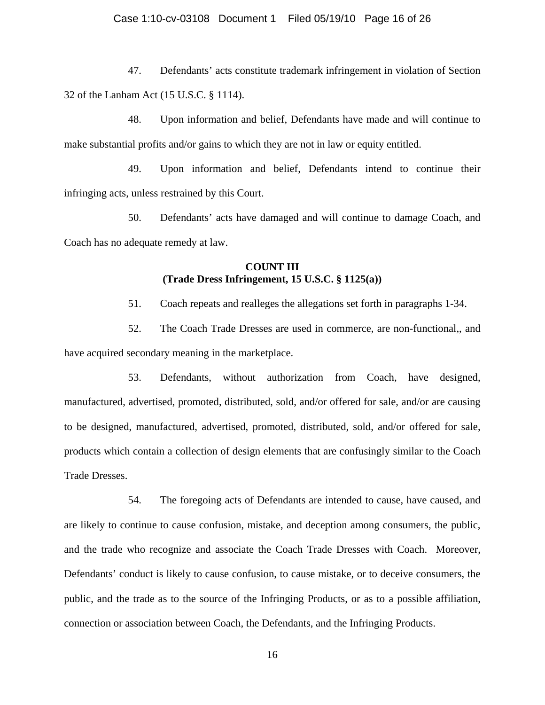47. Defendants' acts constitute trademark infringement in violation of Section 32 of the Lanham Act (15 U.S.C. § 1114).

48. Upon information and belief, Defendants have made and will continue to make substantial profits and/or gains to which they are not in law or equity entitled.

49. Upon information and belief, Defendants intend to continue their infringing acts, unless restrained by this Court.

50. Defendants' acts have damaged and will continue to damage Coach, and Coach has no adequate remedy at law.

# **COUNT III (Trade Dress Infringement, 15 U.S.C. § 1125(a))**

51. Coach repeats and realleges the allegations set forth in paragraphs 1-34.

52. The Coach Trade Dresses are used in commerce, are non-functional,, and have acquired secondary meaning in the marketplace.

53. Defendants, without authorization from Coach, have designed, manufactured, advertised, promoted, distributed, sold, and/or offered for sale, and/or are causing to be designed, manufactured, advertised, promoted, distributed, sold, and/or offered for sale, products which contain a collection of design elements that are confusingly similar to the Coach Trade Dresses.

54. The foregoing acts of Defendants are intended to cause, have caused, and are likely to continue to cause confusion, mistake, and deception among consumers, the public, and the trade who recognize and associate the Coach Trade Dresses with Coach. Moreover, Defendants' conduct is likely to cause confusion, to cause mistake, or to deceive consumers, the public, and the trade as to the source of the Infringing Products, or as to a possible affiliation, connection or association between Coach, the Defendants, and the Infringing Products.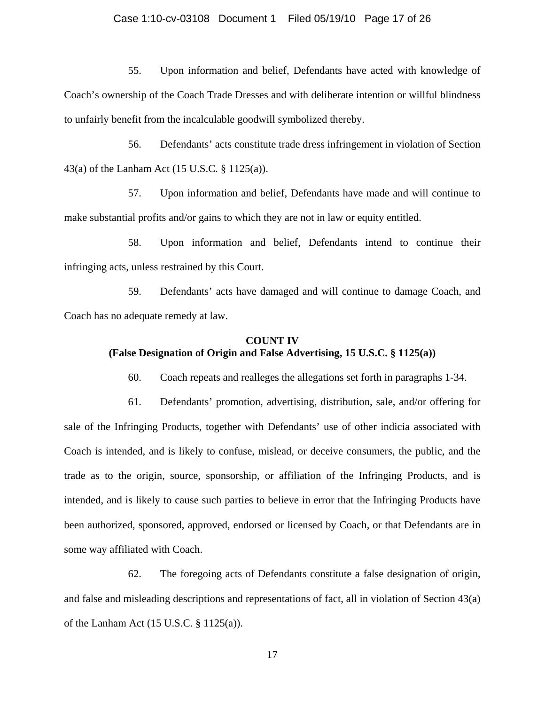#### Case 1:10-cv-03108 Document 1 Filed 05/19/10 Page 17 of 26

55. Upon information and belief, Defendants have acted with knowledge of Coach's ownership of the Coach Trade Dresses and with deliberate intention or willful blindness to unfairly benefit from the incalculable goodwill symbolized thereby.

56. Defendants' acts constitute trade dress infringement in violation of Section 43(a) of the Lanham Act (15 U.S.C. § 1125(a)).

57. Upon information and belief, Defendants have made and will continue to make substantial profits and/or gains to which they are not in law or equity entitled.

58. Upon information and belief, Defendants intend to continue their infringing acts, unless restrained by this Court.

59. Defendants' acts have damaged and will continue to damage Coach, and Coach has no adequate remedy at law.

# **COUNT IV (False Designation of Origin and False Advertising, 15 U.S.C. § 1125(a))**

60. Coach repeats and realleges the allegations set forth in paragraphs 1-34.

61. Defendants' promotion, advertising, distribution, sale, and/or offering for sale of the Infringing Products, together with Defendants' use of other indicia associated with Coach is intended, and is likely to confuse, mislead, or deceive consumers, the public, and the trade as to the origin, source, sponsorship, or affiliation of the Infringing Products, and is intended, and is likely to cause such parties to believe in error that the Infringing Products have been authorized, sponsored, approved, endorsed or licensed by Coach, or that Defendants are in some way affiliated with Coach.

62. The foregoing acts of Defendants constitute a false designation of origin, and false and misleading descriptions and representations of fact, all in violation of Section 43(a) of the Lanham Act (15 U.S.C. § 1125(a)).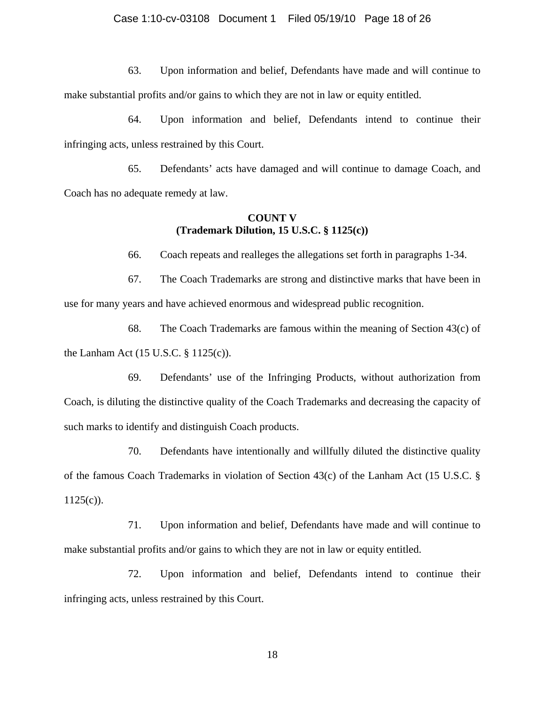63. Upon information and belief, Defendants have made and will continue to make substantial profits and/or gains to which they are not in law or equity entitled.

64. Upon information and belief, Defendants intend to continue their infringing acts, unless restrained by this Court.

65. Defendants' acts have damaged and will continue to damage Coach, and Coach has no adequate remedy at law.

### **COUNT V (Trademark Dilution, 15 U.S.C. § 1125(c))**

66. Coach repeats and realleges the allegations set forth in paragraphs 1-34.

67. The Coach Trademarks are strong and distinctive marks that have been in use for many years and have achieved enormous and widespread public recognition.

68. The Coach Trademarks are famous within the meaning of Section 43(c) of the Lanham Act (15 U.S.C. § 1125(c)).

69. Defendants' use of the Infringing Products, without authorization from Coach, is diluting the distinctive quality of the Coach Trademarks and decreasing the capacity of such marks to identify and distinguish Coach products.

70. Defendants have intentionally and willfully diluted the distinctive quality of the famous Coach Trademarks in violation of Section 43(c) of the Lanham Act (15 U.S.C. §  $1125(c)$ ).

71. Upon information and belief, Defendants have made and will continue to make substantial profits and/or gains to which they are not in law or equity entitled.

72. Upon information and belief, Defendants intend to continue their infringing acts, unless restrained by this Court.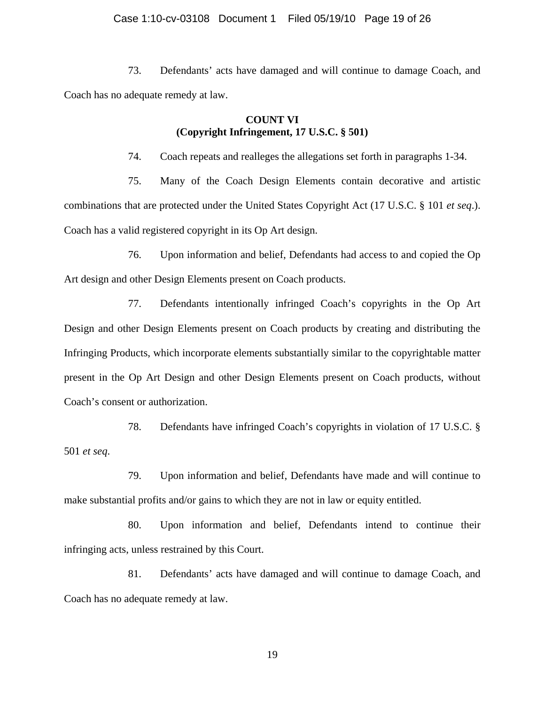73. Defendants' acts have damaged and will continue to damage Coach, and Coach has no adequate remedy at law.

# **COUNT VI (Copyright Infringement, 17 U.S.C. § 501)**

74. Coach repeats and realleges the allegations set forth in paragraphs 1-34.

75. Many of the Coach Design Elements contain decorative and artistic combinations that are protected under the United States Copyright Act (17 U.S.C. § 101 *et seq*.). Coach has a valid registered copyright in its Op Art design.

76. Upon information and belief, Defendants had access to and copied the Op Art design and other Design Elements present on Coach products.

77. Defendants intentionally infringed Coach's copyrights in the Op Art Design and other Design Elements present on Coach products by creating and distributing the Infringing Products, which incorporate elements substantially similar to the copyrightable matter present in the Op Art Design and other Design Elements present on Coach products, without Coach's consent or authorization.

78. Defendants have infringed Coach's copyrights in violation of 17 U.S.C. § 501 *et seq*.

79. Upon information and belief, Defendants have made and will continue to make substantial profits and/or gains to which they are not in law or equity entitled.

80. Upon information and belief, Defendants intend to continue their infringing acts, unless restrained by this Court.

81. Defendants' acts have damaged and will continue to damage Coach, and Coach has no adequate remedy at law.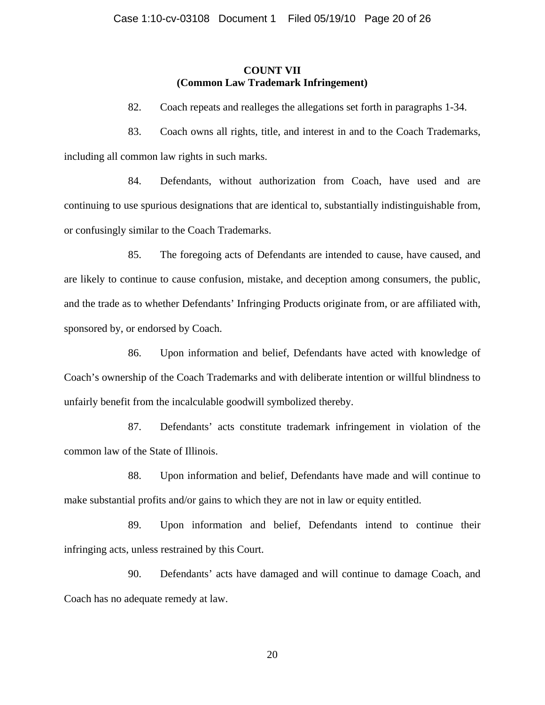# **COUNT VII (Common Law Trademark Infringement)**

82. Coach repeats and realleges the allegations set forth in paragraphs 1-34.

83. Coach owns all rights, title, and interest in and to the Coach Trademarks, including all common law rights in such marks.

84. Defendants, without authorization from Coach, have used and are continuing to use spurious designations that are identical to, substantially indistinguishable from, or confusingly similar to the Coach Trademarks.

85. The foregoing acts of Defendants are intended to cause, have caused, and are likely to continue to cause confusion, mistake, and deception among consumers, the public, and the trade as to whether Defendants' Infringing Products originate from, or are affiliated with, sponsored by, or endorsed by Coach.

86. Upon information and belief, Defendants have acted with knowledge of Coach's ownership of the Coach Trademarks and with deliberate intention or willful blindness to unfairly benefit from the incalculable goodwill symbolized thereby.

87. Defendants' acts constitute trademark infringement in violation of the common law of the State of Illinois.

88. Upon information and belief, Defendants have made and will continue to make substantial profits and/or gains to which they are not in law or equity entitled.

89. Upon information and belief, Defendants intend to continue their infringing acts, unless restrained by this Court.

90. Defendants' acts have damaged and will continue to damage Coach, and Coach has no adequate remedy at law.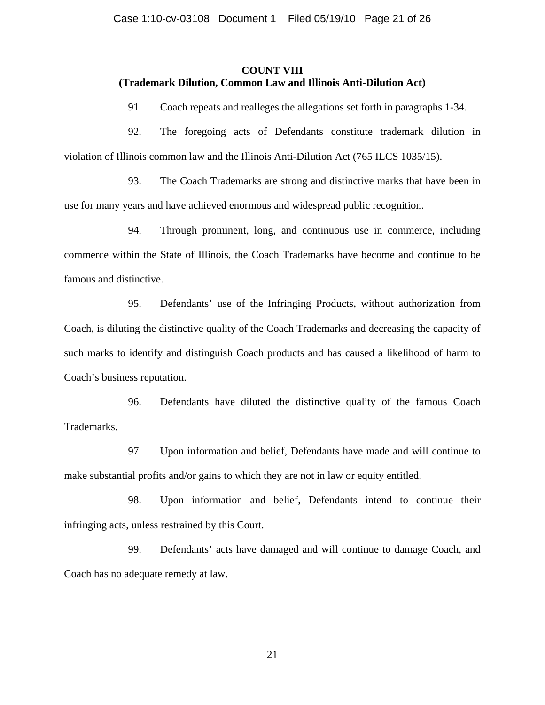## **COUNT VIII (Trademark Dilution, Common Law and Illinois Anti-Dilution Act)**

91. Coach repeats and realleges the allegations set forth in paragraphs 1-34.

92. The foregoing acts of Defendants constitute trademark dilution in violation of Illinois common law and the Illinois Anti-Dilution Act (765 ILCS 1035/15).

93. The Coach Trademarks are strong and distinctive marks that have been in use for many years and have achieved enormous and widespread public recognition.

94. Through prominent, long, and continuous use in commerce, including commerce within the State of Illinois, the Coach Trademarks have become and continue to be famous and distinctive.

95. Defendants' use of the Infringing Products, without authorization from Coach, is diluting the distinctive quality of the Coach Trademarks and decreasing the capacity of such marks to identify and distinguish Coach products and has caused a likelihood of harm to Coach's business reputation.

96. Defendants have diluted the distinctive quality of the famous Coach Trademarks.

97. Upon information and belief, Defendants have made and will continue to make substantial profits and/or gains to which they are not in law or equity entitled.

98. Upon information and belief, Defendants intend to continue their infringing acts, unless restrained by this Court.

99. Defendants' acts have damaged and will continue to damage Coach, and Coach has no adequate remedy at law.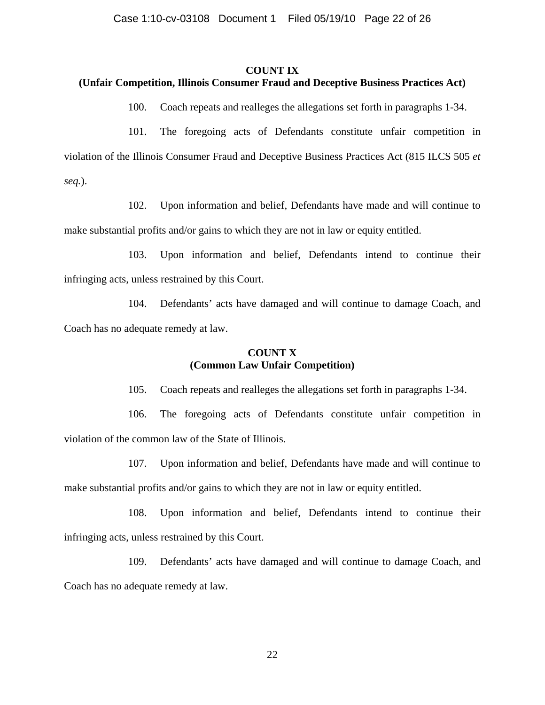#### **COUNT IX**

## **(Unfair Competition, Illinois Consumer Fraud and Deceptive Business Practices Act)**

100. Coach repeats and realleges the allegations set forth in paragraphs 1-34.

101. The foregoing acts of Defendants constitute unfair competition in violation of the Illinois Consumer Fraud and Deceptive Business Practices Act (815 ILCS 505 *et seq.*).

102. Upon information and belief, Defendants have made and will continue to make substantial profits and/or gains to which they are not in law or equity entitled.

103. Upon information and belief, Defendants intend to continue their infringing acts, unless restrained by this Court.

104. Defendants' acts have damaged and will continue to damage Coach, and Coach has no adequate remedy at law.

# **COUNT X (Common Law Unfair Competition)**

105. Coach repeats and realleges the allegations set forth in paragraphs 1-34.

106. The foregoing acts of Defendants constitute unfair competition in violation of the common law of the State of Illinois.

107. Upon information and belief, Defendants have made and will continue to make substantial profits and/or gains to which they are not in law or equity entitled.

108. Upon information and belief, Defendants intend to continue their infringing acts, unless restrained by this Court.

109. Defendants' acts have damaged and will continue to damage Coach, and Coach has no adequate remedy at law.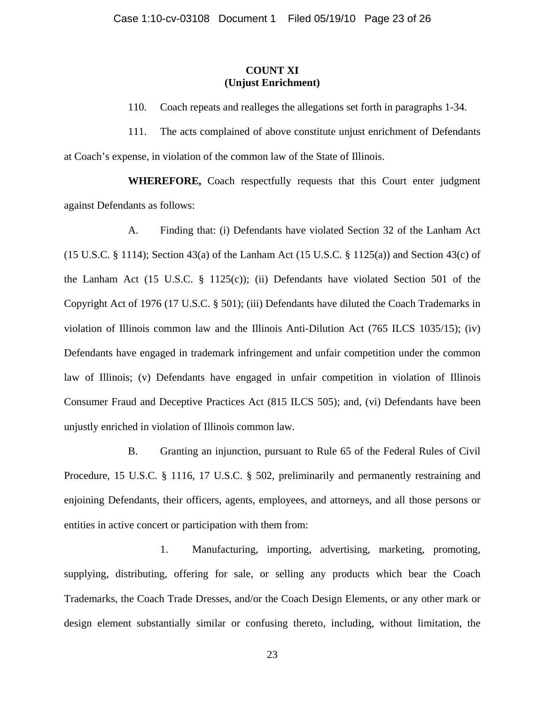# **COUNT XI (Unjust Enrichment)**

110. Coach repeats and realleges the allegations set forth in paragraphs 1-34.

111. The acts complained of above constitute unjust enrichment of Defendants at Coach's expense, in violation of the common law of the State of Illinois.

**WHEREFORE,** Coach respectfully requests that this Court enter judgment against Defendants as follows:

A. Finding that: (i) Defendants have violated Section 32 of the Lanham Act (15 U.S.C.  $\S$  1114); Section 43(a) of the Lanham Act (15 U.S.C.  $\S$  1125(a)) and Section 43(c) of the Lanham Act (15 U.S.C. § 1125(c)); (ii) Defendants have violated Section 501 of the Copyright Act of 1976 (17 U.S.C. § 501); (iii) Defendants have diluted the Coach Trademarks in violation of Illinois common law and the Illinois Anti-Dilution Act (765 ILCS 1035/15); (iv) Defendants have engaged in trademark infringement and unfair competition under the common law of Illinois; (v) Defendants have engaged in unfair competition in violation of Illinois Consumer Fraud and Deceptive Practices Act (815 ILCS 505); and, (vi) Defendants have been unjustly enriched in violation of Illinois common law.

B. Granting an injunction, pursuant to Rule 65 of the Federal Rules of Civil Procedure, 15 U.S.C. § 1116, 17 U.S.C. § 502, preliminarily and permanently restraining and enjoining Defendants, their officers, agents, employees, and attorneys, and all those persons or entities in active concert or participation with them from:

1. Manufacturing, importing, advertising, marketing, promoting, supplying, distributing, offering for sale, or selling any products which bear the Coach Trademarks, the Coach Trade Dresses, and/or the Coach Design Elements, or any other mark or design element substantially similar or confusing thereto, including, without limitation, the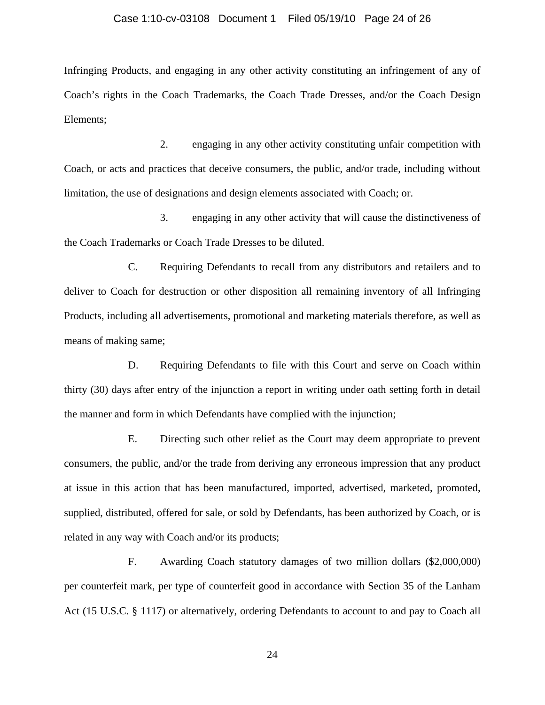#### Case 1:10-cv-03108 Document 1 Filed 05/19/10 Page 24 of 26

Infringing Products, and engaging in any other activity constituting an infringement of any of Coach's rights in the Coach Trademarks, the Coach Trade Dresses, and/or the Coach Design Elements;

2. engaging in any other activity constituting unfair competition with Coach, or acts and practices that deceive consumers, the public, and/or trade, including without limitation, the use of designations and design elements associated with Coach; or.

3. engaging in any other activity that will cause the distinctiveness of the Coach Trademarks or Coach Trade Dresses to be diluted.

C. Requiring Defendants to recall from any distributors and retailers and to deliver to Coach for destruction or other disposition all remaining inventory of all Infringing Products, including all advertisements, promotional and marketing materials therefore, as well as means of making same;

D. Requiring Defendants to file with this Court and serve on Coach within thirty (30) days after entry of the injunction a report in writing under oath setting forth in detail the manner and form in which Defendants have complied with the injunction;

E. Directing such other relief as the Court may deem appropriate to prevent consumers, the public, and/or the trade from deriving any erroneous impression that any product at issue in this action that has been manufactured, imported, advertised, marketed, promoted, supplied, distributed, offered for sale, or sold by Defendants, has been authorized by Coach, or is related in any way with Coach and/or its products;

F. Awarding Coach statutory damages of two million dollars (\$2,000,000) per counterfeit mark, per type of counterfeit good in accordance with Section 35 of the Lanham Act (15 U.S.C. § 1117) or alternatively, ordering Defendants to account to and pay to Coach all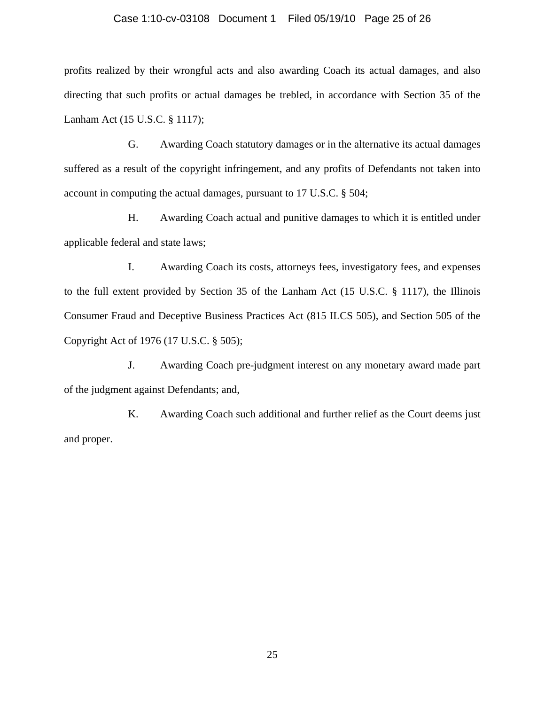### Case 1:10-cv-03108 Document 1 Filed 05/19/10 Page 25 of 26

profits realized by their wrongful acts and also awarding Coach its actual damages, and also directing that such profits or actual damages be trebled, in accordance with Section 35 of the Lanham Act (15 U.S.C. § 1117);

G. Awarding Coach statutory damages or in the alternative its actual damages suffered as a result of the copyright infringement, and any profits of Defendants not taken into account in computing the actual damages, pursuant to 17 U.S.C. § 504;

H. Awarding Coach actual and punitive damages to which it is entitled under applicable federal and state laws;

I. Awarding Coach its costs, attorneys fees, investigatory fees, and expenses to the full extent provided by Section 35 of the Lanham Act (15 U.S.C. § 1117), the Illinois Consumer Fraud and Deceptive Business Practices Act (815 ILCS 505), and Section 505 of the Copyright Act of 1976 (17 U.S.C. § 505);

J. Awarding Coach pre-judgment interest on any monetary award made part of the judgment against Defendants; and,

K. Awarding Coach such additional and further relief as the Court deems just and proper.